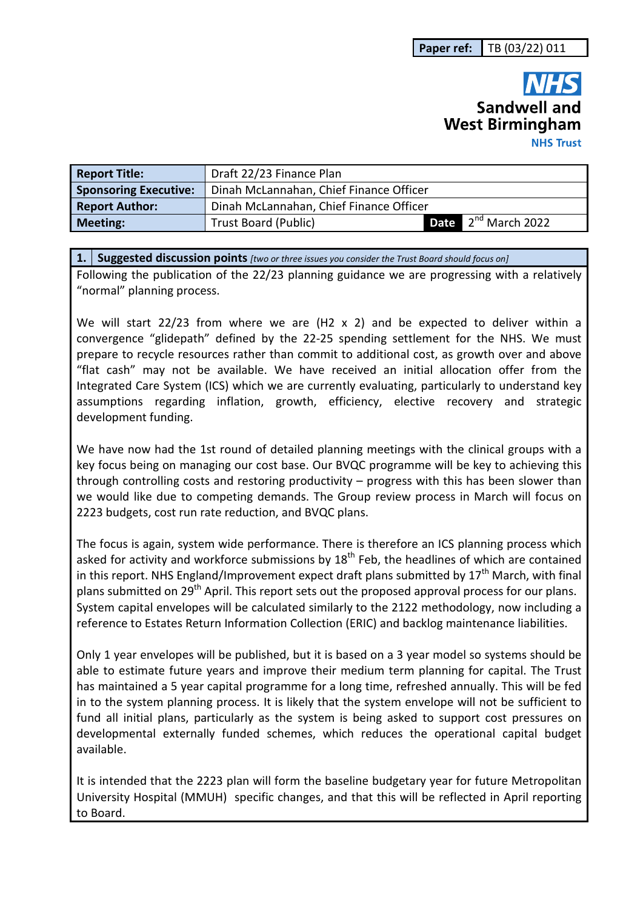# **Sandwell and West Birmingham NHS Trust**

| <b>Report Title:</b>         | Draft 22/23 Finance Plan                |  |                                 |  |  |  |
|------------------------------|-----------------------------------------|--|---------------------------------|--|--|--|
| <b>Sponsoring Executive:</b> | Dinah McLannahan, Chief Finance Officer |  |                                 |  |  |  |
| <b>Report Author:</b>        | Dinah McLannahan, Chief Finance Officer |  |                                 |  |  |  |
| <b>Meeting:</b>              | Trust Board (Public)                    |  | <b>Date</b> $2^{nd}$ March 2022 |  |  |  |

**1. Suggested discussion points** *[two or three issues you consider the Trust Board should focus on]* 

Following the publication of the 22/23 planning guidance we are progressing with a relatively "normal" planning process.

We will start 22/23 from where we are (H2 x 2) and be expected to deliver within a convergence "glidepath" defined by the 22-25 spending settlement for the NHS. We must prepare to recycle resources rather than commit to additional cost, as growth over and above "flat cash" may not be available. We have received an initial allocation offer from the Integrated Care System (ICS) which we are currently evaluating, particularly to understand key assumptions regarding inflation, growth, efficiency, elective recovery and strategic development funding.

We have now had the 1st round of detailed planning meetings with the clinical groups with a key focus being on managing our cost base. Our BVQC programme will be key to achieving this through controlling costs and restoring productivity – progress with this has been slower than we would like due to competing demands. The Group review process in March will focus on 2223 budgets, cost run rate reduction, and BVQC plans.

The focus is again, system wide performance. There is therefore an ICS planning process which asked for activity and workforce submissions by  $18<sup>th</sup>$  Feb, the headlines of which are contained in this report. NHS England/Improvement expect draft plans submitted by  $17<sup>th</sup>$  March, with final plans submitted on 29<sup>th</sup> April. This report sets out the proposed approval process for our plans. System capital envelopes will be calculated similarly to the 2122 methodology, now including a reference to Estates Return Information Collection (ERIC) and backlog maintenance liabilities.

Only 1 year envelopes will be published, but it is based on a 3 year model so systems should be able to estimate future years and improve their medium term planning for capital. The Trust has maintained a 5 year capital programme for a long time, refreshed annually. This will be fed in to the system planning process. It is likely that the system envelope will not be sufficient to fund all initial plans, particularly as the system is being asked to support cost pressures on developmental externally funded schemes, which reduces the operational capital budget available.

It is intended that the 2223 plan will form the baseline budgetary year for future Metropolitan University Hospital (MMUH) specific changes, and that this will be reflected in April reporting to Board.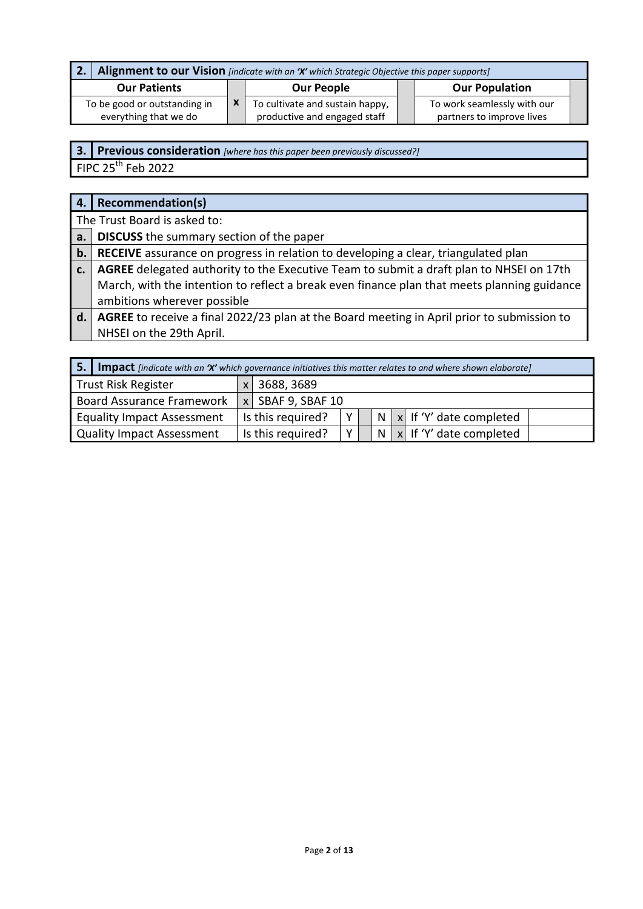| Alignment to our Vision [indicate with an 'X' which Strategic Objective this paper supports]<br>l 2. |  |                                                                 |  |                                                          |  |  |  |
|------------------------------------------------------------------------------------------------------|--|-----------------------------------------------------------------|--|----------------------------------------------------------|--|--|--|
| <b>Our Patients</b>                                                                                  |  | <b>Our People</b>                                               |  | <b>Our Population</b>                                    |  |  |  |
| To be good or outstanding in<br>everything that we do                                                |  | To cultivate and sustain happy,<br>productive and engaged staff |  | To work seamlessly with our<br>partners to improve lives |  |  |  |

**3. Previous consideration** *[where has this paper been previously discussed?]*

FIPC  $25^{th}$  Feb 2022

| 4.    | <b>Recommendation(s)</b>                                                                    |
|-------|---------------------------------------------------------------------------------------------|
|       | The Trust Board is asked to:                                                                |
| a.    | <b>DISCUSS</b> the summary section of the paper                                             |
| $b$ . | <b>RECEIVE</b> assurance on progress in relation to developing a clear, triangulated plan   |
| c.    | AGREE delegated authority to the Executive Team to submit a draft plan to NHSEI on 17th     |
|       | March, with the intention to reflect a break even finance plan that meets planning guidance |
|       | ambitions wherever possible                                                                 |
| d.    | AGREE to receive a final 2022/23 plan at the Board meeting in April prior to submission to  |

NHSEI on the 29th April.

| -5.<br><b>Impact</b> [indicate with an 'X' which governance initiatives this matter relates to and where shown elaborate] |                   |                     |          |  |              |  |                                       |
|---------------------------------------------------------------------------------------------------------------------------|-------------------|---------------------|----------|--|--------------|--|---------------------------------------|
| <b>Trust Risk Register</b>                                                                                                |                   | 3688, 3689          |          |  |              |  |                                       |
| <b>Board Assurance Framework</b>                                                                                          |                   | $x$ SBAF 9, SBAF 10 |          |  |              |  |                                       |
| <b>Equality Impact Assessment</b>                                                                                         |                   | Is this required?   | Υ        |  | $\mathsf{N}$ |  | $\vert x \vert$ If 'Y' date completed |
| Quality Impact Assessment                                                                                                 | Is this required? |                     | <b>V</b> |  | N            |  | $\vert x \vert$ If 'Y' date completed |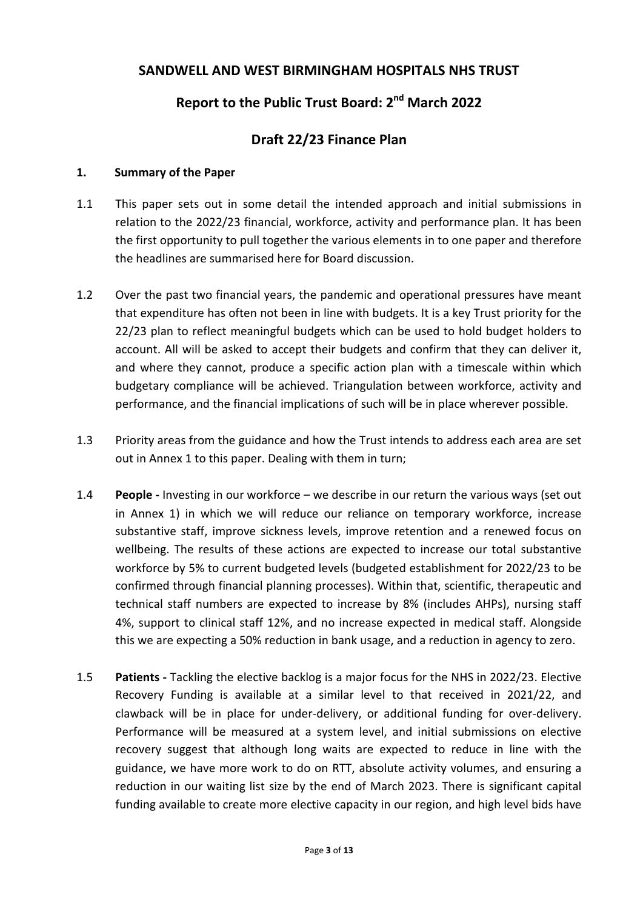# **SANDWELL AND WEST BIRMINGHAM HOSPITALS NHS TRUST**

# **Report to the Public Trust Board: 2nd March 2022**

# **Draft 22/23 Finance Plan**

#### **1. Summary of the Paper**

- 1.1 This paper sets out in some detail the intended approach and initial submissions in relation to the 2022/23 financial, workforce, activity and performance plan. It has been the first opportunity to pull together the various elements in to one paper and therefore the headlines are summarised here for Board discussion.
- 1.2 Over the past two financial years, the pandemic and operational pressures have meant that expenditure has often not been in line with budgets. It is a key Trust priority for the 22/23 plan to reflect meaningful budgets which can be used to hold budget holders to account. All will be asked to accept their budgets and confirm that they can deliver it, and where they cannot, produce a specific action plan with a timescale within which budgetary compliance will be achieved. Triangulation between workforce, activity and performance, and the financial implications of such will be in place wherever possible.
- 1.3 Priority areas from the guidance and how the Trust intends to address each area are set out in Annex 1 to this paper. Dealing with them in turn;
- 1.4 **People** Investing in our workforce we describe in our return the various ways (set out in Annex 1) in which we will reduce our reliance on temporary workforce, increase substantive staff, improve sickness levels, improve retention and a renewed focus on wellbeing. The results of these actions are expected to increase our total substantive workforce by 5% to current budgeted levels (budgeted establishment for 2022/23 to be confirmed through financial planning processes). Within that, scientific, therapeutic and technical staff numbers are expected to increase by 8% (includes AHPs), nursing staff 4%, support to clinical staff 12%, and no increase expected in medical staff. Alongside this we are expecting a 50% reduction in bank usage, and a reduction in agency to zero.
- 1.5 **Patients** Tackling the elective backlog is a major focus for the NHS in 2022/23. Elective Recovery Funding is available at a similar level to that received in 2021/22, and clawback will be in place for under-delivery, or additional funding for over-delivery. Performance will be measured at a system level, and initial submissions on elective recovery suggest that although long waits are expected to reduce in line with the guidance, we have more work to do on RTT, absolute activity volumes, and ensuring a reduction in our waiting list size by the end of March 2023. There is significant capital funding available to create more elective capacity in our region, and high level bids have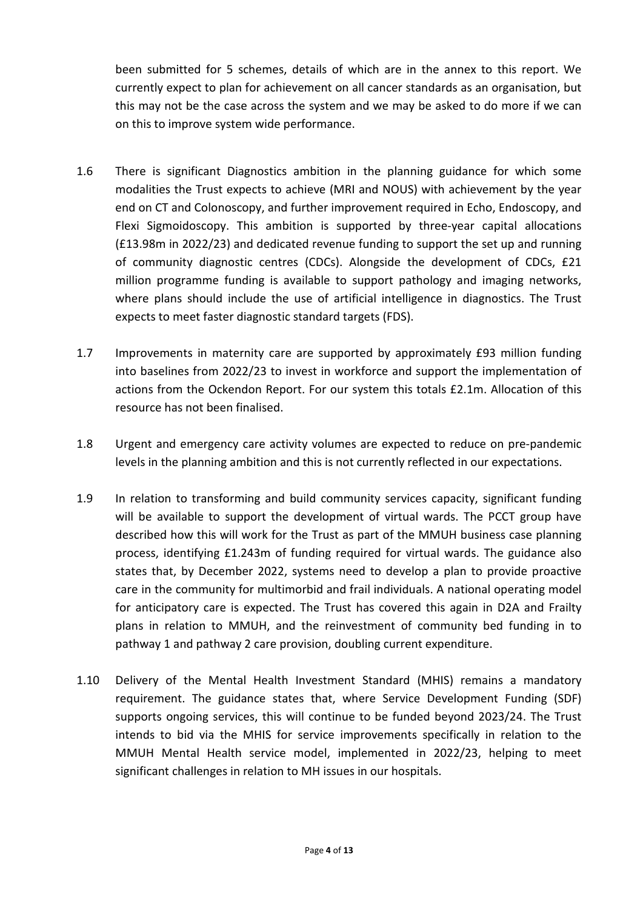been submitted for 5 schemes, details of which are in the annex to this report. We currently expect to plan for achievement on all cancer standards as an organisation, but this may not be the case across the system and we may be asked to do more if we can on this to improve system wide performance.

- 1.6 There is significant Diagnostics ambition in the planning guidance for which some modalities the Trust expects to achieve (MRI and NOUS) with achievement by the year end on CT and Colonoscopy, and further improvement required in Echo, Endoscopy, and Flexi Sigmoidoscopy. This ambition is supported by three-year capital allocations (£13.98m in 2022/23) and dedicated revenue funding to support the set up and running of community diagnostic centres (CDCs). Alongside the development of CDCs, £21 million programme funding is available to support pathology and imaging networks, where plans should include the use of artificial intelligence in diagnostics. The Trust expects to meet faster diagnostic standard targets (FDS).
- 1.7 Improvements in maternity care are supported by approximately £93 million funding into baselines from 2022/23 to invest in workforce and support the implementation of actions from the Ockendon Report. For our system this totals £2.1m. Allocation of this resource has not been finalised.
- 1.8 Urgent and emergency care activity volumes are expected to reduce on pre-pandemic levels in the planning ambition and this is not currently reflected in our expectations.
- 1.9 In relation to transforming and build community services capacity, significant funding will be available to support the development of virtual wards. The PCCT group have described how this will work for the Trust as part of the MMUH business case planning process, identifying £1.243m of funding required for virtual wards. The guidance also states that, by December 2022, systems need to develop a plan to provide proactive care in the community for multimorbid and frail individuals. A national operating model for anticipatory care is expected. The Trust has covered this again in D2A and Frailty plans in relation to MMUH, and the reinvestment of community bed funding in to pathway 1 and pathway 2 care provision, doubling current expenditure.
- 1.10 Delivery of the Mental Health Investment Standard (MHIS) remains a mandatory requirement. The guidance states that, where Service Development Funding (SDF) supports ongoing services, this will continue to be funded beyond 2023/24. The Trust intends to bid via the MHIS for service improvements specifically in relation to the MMUH Mental Health service model, implemented in 2022/23, helping to meet significant challenges in relation to MH issues in our hospitals.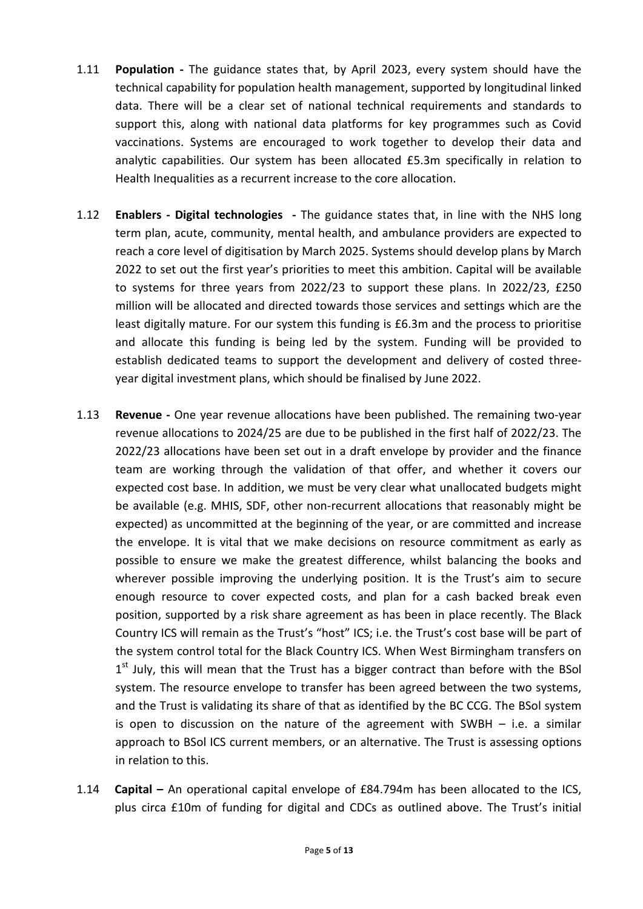- 1.11 **Population** The guidance states that, by April 2023, every system should have the technical capability for population health management, supported by longitudinal linked data. There will be a clear set of national technical requirements and standards to support this, along with national data platforms for key programmes such as Covid vaccinations. Systems are encouraged to work together to develop their data and analytic capabilities. Our system has been allocated £5.3m specifically in relation to Health Inequalities as a recurrent increase to the core allocation.
- 1.12 **Enablers Digital technologies** The guidance states that, in line with the NHS long term plan, acute, community, mental health, and ambulance providers are expected to reach a core level of digitisation by March 2025. Systems should develop plans by March 2022 to set out the first year's priorities to meet this ambition. Capital will be available to systems for three years from 2022/23 to support these plans. In 2022/23, £250 million will be allocated and directed towards those services and settings which are the least digitally mature. For our system this funding is £6.3m and the process to prioritise and allocate this funding is being led by the system. Funding will be provided to establish dedicated teams to support the development and delivery of costed threeyear digital investment plans, which should be finalised by June 2022.
- 1.13 **Revenue** One year revenue allocations have been published. The remaining two-year revenue allocations to 2024/25 are due to be published in the first half of 2022/23. The 2022/23 allocations have been set out in a draft envelope by provider and the finance team are working through the validation of that offer, and whether it covers our expected cost base. In addition, we must be very clear what unallocated budgets might be available (e.g. MHIS, SDF, other non-recurrent allocations that reasonably might be expected) as uncommitted at the beginning of the year, or are committed and increase the envelope. It is vital that we make decisions on resource commitment as early as possible to ensure we make the greatest difference, whilst balancing the books and wherever possible improving the underlying position. It is the Trust's aim to secure enough resource to cover expected costs, and plan for a cash backed break even position, supported by a risk share agreement as has been in place recently. The Black Country ICS will remain as the Trust's "host" ICS; i.e. the Trust's cost base will be part of the system control total for the Black Country ICS. When West Birmingham transfers on 1<sup>st</sup> July, this will mean that the Trust has a bigger contract than before with the BSol system. The resource envelope to transfer has been agreed between the two systems, and the Trust is validating its share of that as identified by the BC CCG. The BSol system is open to discussion on the nature of the agreement with SWBH – i.e. a similar approach to BSol ICS current members, or an alternative. The Trust is assessing options in relation to this.
- 1.14 **Capital** An operational capital envelope of £84.794m has been allocated to the ICS, plus circa £10m of funding for digital and CDCs as outlined above. The Trust's initial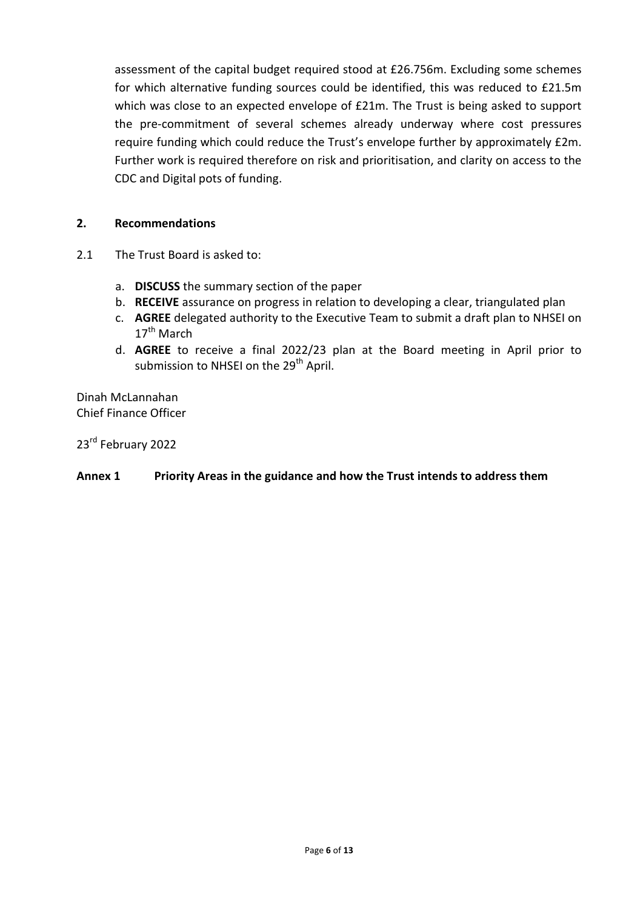assessment of the capital budget required stood at £26.756m. Excluding some schemes for which alternative funding sources could be identified, this was reduced to £21.5m which was close to an expected envelope of £21m. The Trust is being asked to support the pre-commitment of several schemes already underway where cost pressures require funding which could reduce the Trust's envelope further by approximately £2m. Further work is required therefore on risk and prioritisation, and clarity on access to the CDC and Digital pots of funding.

#### **2. Recommendations**

- 2.1 The Trust Board is asked to:
	- a. **DISCUSS** the summary section of the paper
	- b. **RECEIVE** assurance on progress in relation to developing a clear, triangulated plan
	- c. **AGREE** delegated authority to the Executive Team to submit a draft plan to NHSEI on 17<sup>th</sup> March
	- d. **AGREE** to receive a final 2022/23 plan at the Board meeting in April prior to submission to NHSEI on the 29<sup>th</sup> April.

Dinah McLannahan Chief Finance Officer

23<sup>rd</sup> February 2022

#### **Annex 1 Priority Areas in the guidance and how the Trust intends to address them**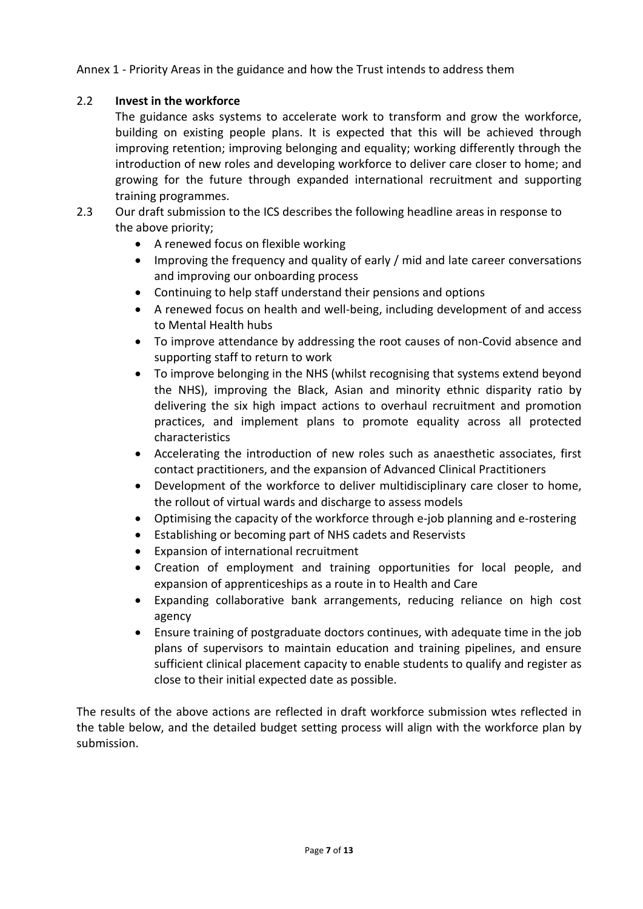Annex 1 - Priority Areas in the guidance and how the Trust intends to address them

### 2.2 **Invest in the workforce**

The guidance asks systems to accelerate work to transform and grow the workforce, building on existing people plans. It is expected that this will be achieved through improving retention; improving belonging and equality; working differently through the introduction of new roles and developing workforce to deliver care closer to home; and growing for the future through expanded international recruitment and supporting training programmes.

- 2.3 Our draft submission to the ICS describes the following headline areas in response to the above priority;
	- A renewed focus on flexible working
	- Improving the frequency and quality of early / mid and late career conversations and improving our onboarding process
	- Continuing to help staff understand their pensions and options
	- A renewed focus on health and well-being, including development of and access to Mental Health hubs
	- To improve attendance by addressing the root causes of non-Covid absence and supporting staff to return to work
	- To improve belonging in the NHS (whilst recognising that systems extend beyond the NHS), improving the Black, Asian and minority ethnic disparity ratio by delivering the six high impact actions to overhaul recruitment and promotion practices, and implement plans to promote equality across all protected characteristics
	- Accelerating the introduction of new roles such as anaesthetic associates, first contact practitioners, and the expansion of Advanced Clinical Practitioners
	- Development of the workforce to deliver multidisciplinary care closer to home, the rollout of virtual wards and discharge to assess models
	- Optimising the capacity of the workforce through e-job planning and e-rostering
	- Establishing or becoming part of NHS cadets and Reservists
	- Expansion of international recruitment
	- Creation of employment and training opportunities for local people, and expansion of apprenticeships as a route in to Health and Care
	- Expanding collaborative bank arrangements, reducing reliance on high cost agency
	- Ensure training of postgraduate doctors continues, with adequate time in the job plans of supervisors to maintain education and training pipelines, and ensure sufficient clinical placement capacity to enable students to qualify and register as close to their initial expected date as possible.

The results of the above actions are reflected in draft workforce submission wtes reflected in the table below, and the detailed budget setting process will align with the workforce plan by submission.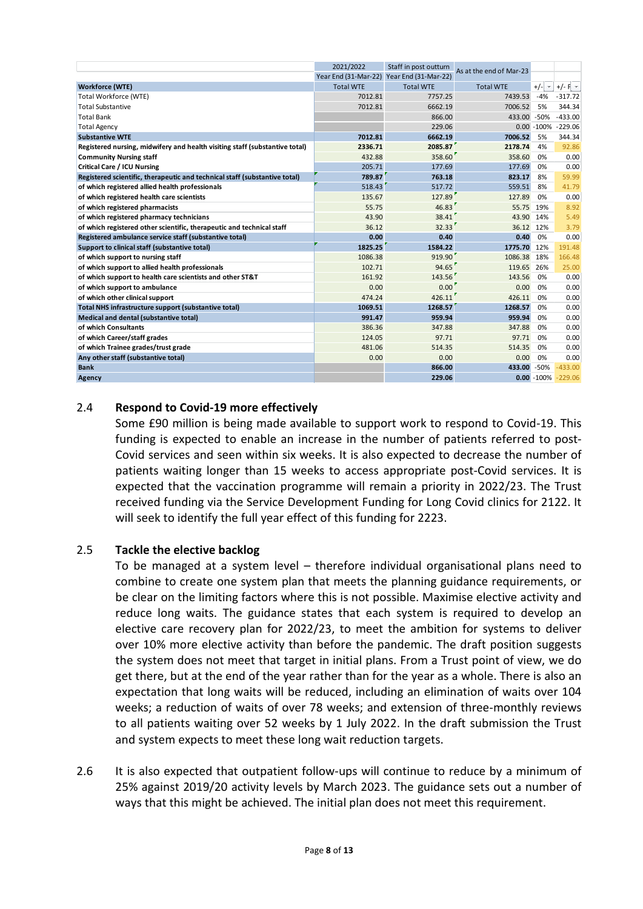|                                                                             | 2021/2022            | Staff in post outturn | As at the end of Mar-23 |                |                         |
|-----------------------------------------------------------------------------|----------------------|-----------------------|-------------------------|----------------|-------------------------|
|                                                                             | Year End (31-Mar-22) | Year End (31-Mar-22)  |                         |                |                         |
| <b>Workforce (WTE)</b>                                                      | <b>Total WTE</b>     | <b>Total WTE</b>      | <b>Total WTE</b>        | $+/ -$         | $+/-$ F $-$             |
| <b>Total Workforce (WTE)</b>                                                | 7012.81              | 7757.25               | 7439.53                 | $-4%$          | $-317.72$               |
| <b>Total Substantive</b>                                                    | 7012.81              | 6662.19               | 7006.52                 | 5%             | 344.34                  |
| <b>Total Bank</b>                                                           |                      | 866.00                | 433.00                  | $-50%$         | $-433.00$               |
| <b>Total Agency</b>                                                         |                      | 229.06                |                         | $0.00 - 100\%$ | $-229.06$               |
| <b>Substantive WTE</b>                                                      | 7012.81              | 6662.19               | 7006.52                 | 5%             | 344.34                  |
| Registered nursing, midwifery and health visiting staff (substantive total) | 2336.71              | 2085.87               | 2178.74                 | 4%             | 92.86                   |
| <b>Community Nursing staff</b>                                              | 432.88               | 358.60                | 358.60                  | 0%             | 0.00                    |
| <b>Critical Care / ICU Nursing</b>                                          | 205.71               | 177.69                | 177.69                  | 0%             | 0.00                    |
| Registered scientific, therapeutic and technical staff (substantive total)  | 789.87               | 763.18                | 823.17                  | 8%             | 59.99                   |
| of which registered allied health professionals                             | 518.43               | 517.72                | 559.51                  | 8%             | 41.79                   |
| of which registered health care scientists                                  | 135.67               | 127.89                | 127.89                  | 0%             | 0.00                    |
| of which registered pharmacists                                             | 55.75                | 46.83                 | 55.75                   | 19%            | 8.92                    |
| of which registered pharmacy technicians                                    | 43.90                | 38.41                 | 43.90                   | 14%            | 5.49                    |
| of which registered other scientific, therapeutic and technical staff       | 36.12                | 32.33'                | 36.12                   | 12%            | 3.79                    |
| Registered ambulance service staff (substantive total)                      | 0.00                 | 0.40                  | 0.40                    | 0%             | 0.00                    |
| Support to clinical staff (substantive total)                               | 1825.25              | 1584.22               | 1775.70                 | 12%            | 191.48                  |
| of which support to nursing staff                                           | 1086.38              | 919.90                | 1086.38                 | 18%            | 166.48                  |
| of which support to allied health professionals                             | 102.71               | 94.65                 | 119.65                  | 26%            | 25.00                   |
| of which support to health care scientists and other ST&T                   | 161.92               | 143.56'               | 143.56                  | 0%             | 0.00                    |
| of which support to ambulance                                               | 0.00                 | 0.00                  | 0.00                    | 0%             | 0.00                    |
| of which other clinical support                                             | 474.24               | 426.11                | 426.11                  | 0%             | 0.00                    |
| Total NHS infrastructure support (substantive total)                        | 1069.51              | 1268.57               | 1268.57                 | 0%             | 0.00                    |
| Medical and dental (substantive total)                                      | 991.47               | 959.94                | 959.94                  | 0%             | 0.00                    |
| of which Consultants                                                        | 386.36               | 347.88                | 347.88                  | 0%             | 0.00                    |
| of which Career/staff grades                                                | 124.05               | 97.71                 | 97.71                   | 0%             | 0.00                    |
| of which Trainee grades/trust grade                                         | 481.06               | 514.35                | 514.35                  | 0%             | 0.00                    |
| Any other staff (substantive total)                                         | 0.00                 | 0.00                  | 0.00                    | 0%             | 0.00                    |
| <b>Bank</b>                                                                 |                      | 866.00                | 433.00                  | $-50%$         | $-433.00$               |
| Agency                                                                      |                      | 229.06                |                         |                | $0.00 - 100\% - 229.06$ |

#### 2.4 **Respond to Covid-19 more effectively**

Some £90 million is being made available to support work to respond to Covid-19. This funding is expected to enable an increase in the number of patients referred to post-Covid services and seen within six weeks. It is also expected to decrease the number of patients waiting longer than 15 weeks to access appropriate post-Covid services. It is expected that the vaccination programme will remain a priority in 2022/23. The Trust received funding via the Service Development Funding for Long Covid clinics for 2122. It will seek to identify the full year effect of this funding for 2223.

#### 2.5 **Tackle the elective backlog**

To be managed at a system level – therefore individual organisational plans need to combine to create one system plan that meets the planning guidance requirements, or be clear on the limiting factors where this is not possible. Maximise elective activity and reduce long waits. The guidance states that each system is required to develop an elective care recovery plan for 2022/23, to meet the ambition for systems to deliver over 10% more elective activity than before the pandemic. The draft position suggests the system does not meet that target in initial plans. From a Trust point of view, we do get there, but at the end of the year rather than for the year as a whole. There is also an expectation that long waits will be reduced, including an elimination of waits over 104 weeks; a reduction of waits of over 78 weeks; and extension of three-monthly reviews to all patients waiting over 52 weeks by 1 July 2022. In the draft submission the Trust and system expects to meet these long wait reduction targets.

2.6 It is also expected that outpatient follow-ups will continue to reduce by a minimum of 25% against 2019/20 activity levels by March 2023. The guidance sets out a number of ways that this might be achieved. The initial plan does not meet this requirement.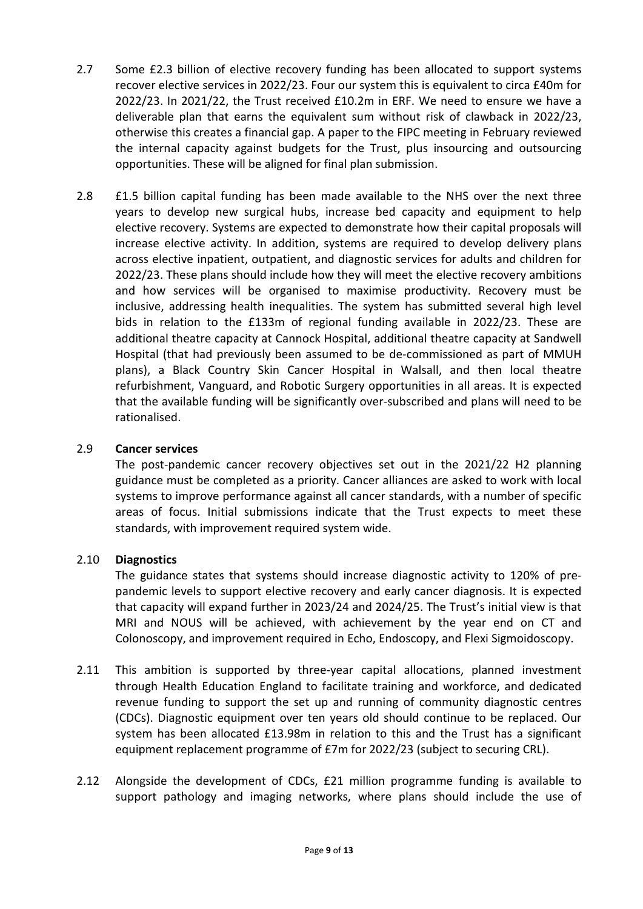- 2.7 Some £2.3 billion of elective recovery funding has been allocated to support systems recover elective services in 2022/23. Four our system this is equivalent to circa £40m for 2022/23. In 2021/22, the Trust received £10.2m in ERF. We need to ensure we have a deliverable plan that earns the equivalent sum without risk of clawback in 2022/23, otherwise this creates a financial gap. A paper to the FIPC meeting in February reviewed the internal capacity against budgets for the Trust, plus insourcing and outsourcing opportunities. These will be aligned for final plan submission.
- 2.8 E1.5 billion capital funding has been made available to the NHS over the next three years to develop new surgical hubs, increase bed capacity and equipment to help elective recovery. Systems are expected to demonstrate how their capital proposals will increase elective activity. In addition, systems are required to develop delivery plans across elective inpatient, outpatient, and diagnostic services for adults and children for 2022/23. These plans should include how they will meet the elective recovery ambitions and how services will be organised to maximise productivity. Recovery must be inclusive, addressing health inequalities. The system has submitted several high level bids in relation to the £133m of regional funding available in 2022/23. These are additional theatre capacity at Cannock Hospital, additional theatre capacity at Sandwell Hospital (that had previously been assumed to be de-commissioned as part of MMUH plans), a Black Country Skin Cancer Hospital in Walsall, and then local theatre refurbishment, Vanguard, and Robotic Surgery opportunities in all areas. It is expected that the available funding will be significantly over-subscribed and plans will need to be rationalised.

#### 2.9 **Cancer services**

The post-pandemic cancer recovery objectives set out in the 2021/22 H2 planning guidance must be completed as a priority. Cancer alliances are asked to work with local systems to improve performance against all cancer standards, with a number of specific areas of focus. Initial submissions indicate that the Trust expects to meet these standards, with improvement required system wide.

#### 2.10 **Diagnostics**

The guidance states that systems should increase diagnostic activity to 120% of prepandemic levels to support elective recovery and early cancer diagnosis. It is expected that capacity will expand further in 2023/24 and 2024/25. The Trust's initial view is that MRI and NOUS will be achieved, with achievement by the year end on CT and Colonoscopy, and improvement required in Echo, Endoscopy, and Flexi Sigmoidoscopy.

- 2.11 This ambition is supported by three-year capital allocations, planned investment through Health Education England to facilitate training and workforce, and dedicated revenue funding to support the set up and running of community diagnostic centres (CDCs). Diagnostic equipment over ten years old should continue to be replaced. Our system has been allocated £13.98m in relation to this and the Trust has a significant equipment replacement programme of £7m for 2022/23 (subject to securing CRL).
- 2.12 Alongside the development of CDCs, £21 million programme funding is available to support pathology and imaging networks, where plans should include the use of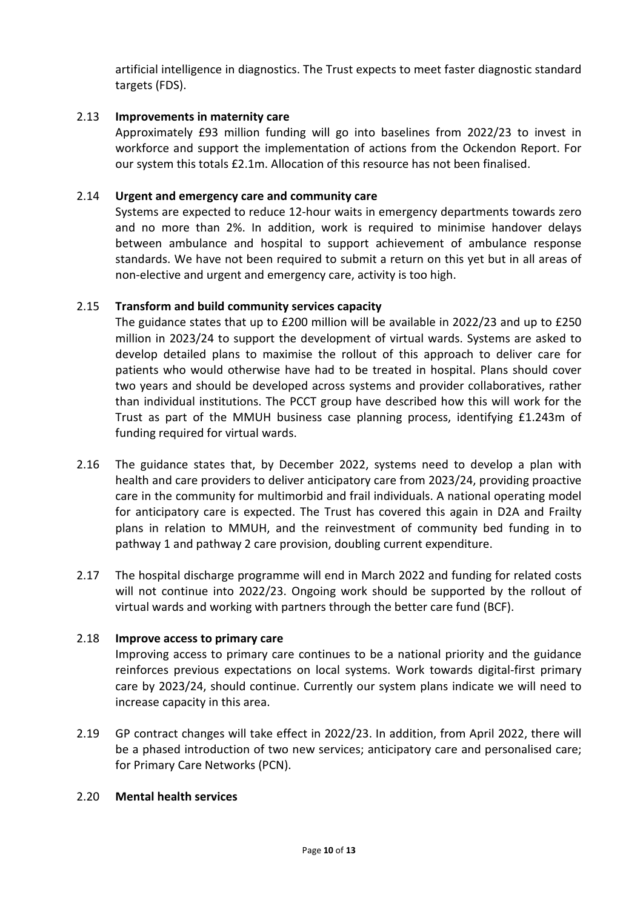artificial intelligence in diagnostics. The Trust expects to meet faster diagnostic standard targets (FDS).

#### 2.13 **Improvements in maternity care**

Approximately £93 million funding will go into baselines from 2022/23 to invest in workforce and support the implementation of actions from the Ockendon Report. For our system this totals £2.1m. Allocation of this resource has not been finalised.

#### 2.14 **Urgent and emergency care and community care**

Systems are expected to reduce 12-hour waits in emergency departments towards zero and no more than 2%. In addition, work is required to minimise handover delays between ambulance and hospital to support achievement of ambulance response standards. We have not been required to submit a return on this yet but in all areas of non-elective and urgent and emergency care, activity is too high.

#### 2.15 **Transform and build community services capacity**

The guidance states that up to £200 million will be available in 2022/23 and up to £250 million in 2023/24 to support the development of virtual wards. Systems are asked to develop detailed plans to maximise the rollout of this approach to deliver care for patients who would otherwise have had to be treated in hospital. Plans should cover two years and should be developed across systems and provider collaboratives, rather than individual institutions. The PCCT group have described how this will work for the Trust as part of the MMUH business case planning process, identifying £1.243m of funding required for virtual wards.

- 2.16 The guidance states that, by December 2022, systems need to develop a plan with health and care providers to deliver anticipatory care from 2023/24, providing proactive care in the community for multimorbid and frail individuals. A national operating model for anticipatory care is expected. The Trust has covered this again in D2A and Frailty plans in relation to MMUH, and the reinvestment of community bed funding in to pathway 1 and pathway 2 care provision, doubling current expenditure.
- 2.17 The hospital discharge programme will end in March 2022 and funding for related costs will not continue into 2022/23. Ongoing work should be supported by the rollout of virtual wards and working with partners through the better care fund (BCF).

#### 2.18 **Improve access to primary care**

Improving access to primary care continues to be a national priority and the guidance reinforces previous expectations on local systems. Work towards digital-first primary care by 2023/24, should continue. Currently our system plans indicate we will need to increase capacity in this area.

2.19 GP contract changes will take effect in 2022/23. In addition, from April 2022, there will be a phased introduction of two new services; anticipatory care and personalised care; for Primary Care Networks (PCN).

#### 2.20 **Mental health services**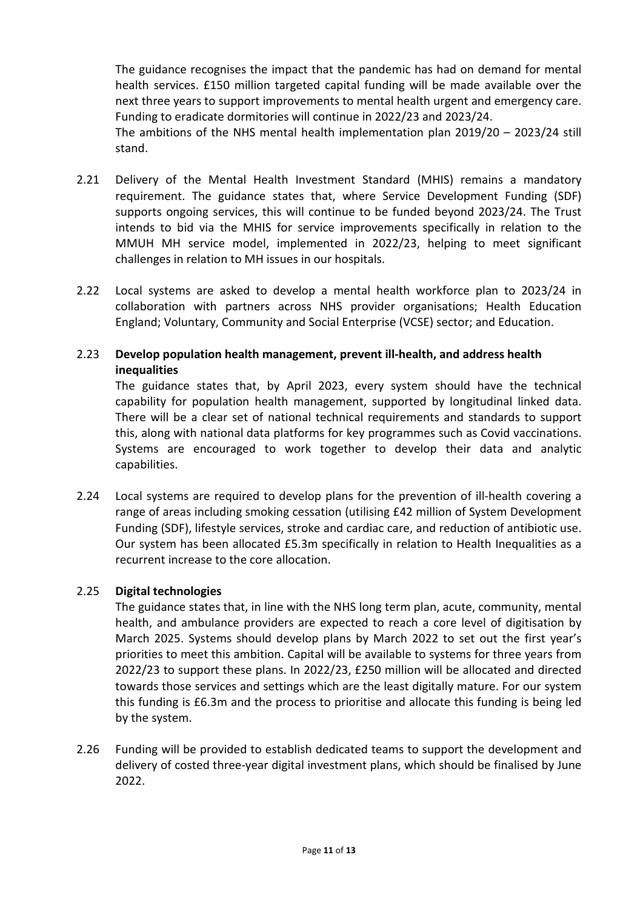The guidance recognises the impact that the pandemic has had on demand for mental health services. £150 million targeted capital funding will be made available over the next three years to support improvements to mental health urgent and emergency care. Funding to eradicate dormitories will continue in 2022/23 and 2023/24.

The ambitions of the NHS mental health implementation plan 2019/20 – 2023/24 still stand.

- 2.21 Delivery of the Mental Health Investment Standard (MHIS) remains a mandatory requirement. The guidance states that, where Service Development Funding (SDF) supports ongoing services, this will continue to be funded beyond 2023/24. The Trust intends to bid via the MHIS for service improvements specifically in relation to the MMUH MH service model, implemented in 2022/23, helping to meet significant challenges in relation to MH issues in our hospitals.
- 2.22 Local systems are asked to develop a mental health workforce plan to 2023/24 in collaboration with partners across NHS provider organisations; Health Education England; Voluntary, Community and Social Enterprise (VCSE) sector; and Education.

#### 2.23 **Develop population health management, prevent ill-health, and address health inequalities**

The guidance states that, by April 2023, every system should have the technical capability for population health management, supported by longitudinal linked data. There will be a clear set of national technical requirements and standards to support this, along with national data platforms for key programmes such as Covid vaccinations. Systems are encouraged to work together to develop their data and analytic capabilities.

2.24 Local systems are required to develop plans for the prevention of ill-health covering a range of areas including smoking cessation (utilising £42 million of System Development Funding (SDF), lifestyle services, stroke and cardiac care, and reduction of antibiotic use. Our system has been allocated £5.3m specifically in relation to Health Inequalities as a recurrent increase to the core allocation.

#### 2.25 **Digital technologies**

The guidance states that, in line with the NHS long term plan, acute, community, mental health, and ambulance providers are expected to reach a core level of digitisation by March 2025. Systems should develop plans by March 2022 to set out the first year's priorities to meet this ambition. Capital will be available to systems for three years from 2022/23 to support these plans. In 2022/23, £250 million will be allocated and directed towards those services and settings which are the least digitally mature. For our system this funding is £6.3m and the process to prioritise and allocate this funding is being led by the system.

2.26 Funding will be provided to establish dedicated teams to support the development and delivery of costed three-year digital investment plans, which should be finalised by June 2022.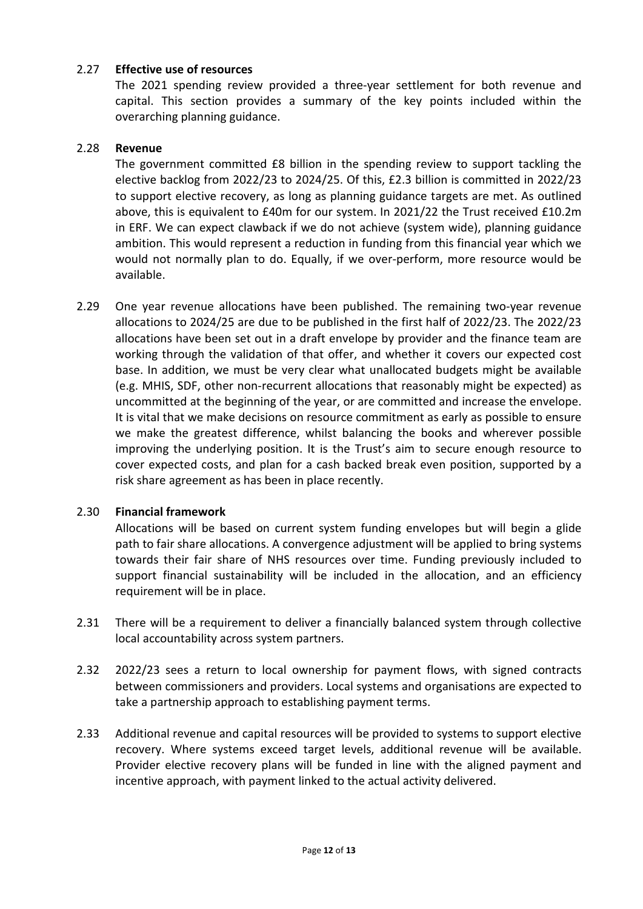#### 2.27 **Effective use of resources**

The 2021 spending review provided a three-year settlement for both revenue and capital. This section provides a summary of the key points included within the overarching planning guidance.

#### 2.28 **Revenue**

The government committed £8 billion in the spending review to support tackling the elective backlog from 2022/23 to 2024/25. Of this, £2.3 billion is committed in 2022/23 to support elective recovery, as long as planning guidance targets are met. As outlined above, this is equivalent to £40m for our system. In 2021/22 the Trust received £10.2m in ERF. We can expect clawback if we do not achieve (system wide), planning guidance ambition. This would represent a reduction in funding from this financial year which we would not normally plan to do. Equally, if we over-perform, more resource would be available.

2.29 One year revenue allocations have been published. The remaining two-year revenue allocations to 2024/25 are due to be published in the first half of 2022/23. The 2022/23 allocations have been set out in a draft envelope by provider and the finance team are working through the validation of that offer, and whether it covers our expected cost base. In addition, we must be very clear what unallocated budgets might be available (e.g. MHIS, SDF, other non-recurrent allocations that reasonably might be expected) as uncommitted at the beginning of the year, or are committed and increase the envelope. It is vital that we make decisions on resource commitment as early as possible to ensure we make the greatest difference, whilst balancing the books and wherever possible improving the underlying position. It is the Trust's aim to secure enough resource to cover expected costs, and plan for a cash backed break even position, supported by a risk share agreement as has been in place recently.

#### 2.30 **Financial framework**

Allocations will be based on current system funding envelopes but will begin a glide path to fair share allocations. A convergence adjustment will be applied to bring systems towards their fair share of NHS resources over time. Funding previously included to support financial sustainability will be included in the allocation, and an efficiency requirement will be in place.

- 2.31 There will be a requirement to deliver a financially balanced system through collective local accountability across system partners.
- 2.32 2022/23 sees a return to local ownership for payment flows, with signed contracts between commissioners and providers. Local systems and organisations are expected to take a partnership approach to establishing payment terms.
- 2.33 Additional revenue and capital resources will be provided to systems to support elective recovery. Where systems exceed target levels, additional revenue will be available. Provider elective recovery plans will be funded in line with the aligned payment and incentive approach, with payment linked to the actual activity delivered.